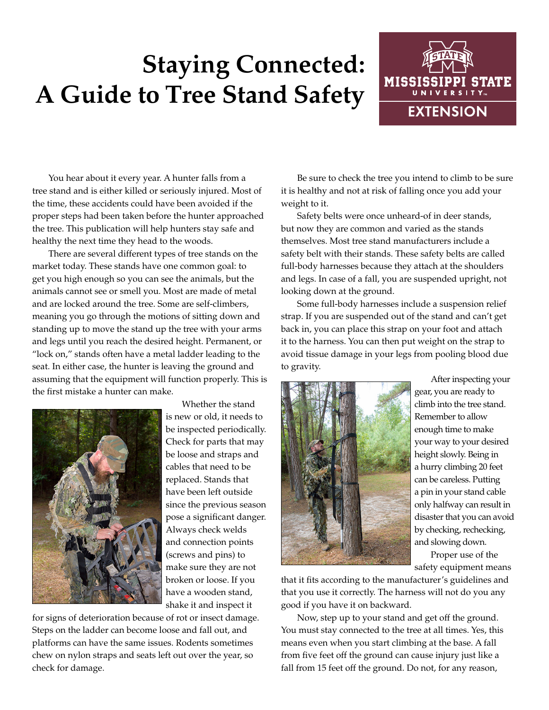## **Staying Connected: A Guide to Tree Stand Safety**



You hear about it every year. A hunter falls from a tree stand and is either killed or seriously injured. Most of the time, these accidents could have been avoided if the proper steps had been taken before the hunter approached the tree. This publication will help hunters stay safe and healthy the next time they head to the woods.

There are several different types of tree stands on the market today. These stands have one common goal: to get you high enough so you can see the animals, but the animals cannot see or smell you. Most are made of metal and are locked around the tree. Some are self-climbers, meaning you go through the motions of sitting down and standing up to move the stand up the tree with your arms and legs until you reach the desired height. Permanent, or "lock on," stands often have a metal ladder leading to the seat. In either case, the hunter is leaving the ground and assuming that the equipment will function properly. This is the first mistake a hunter can make.



Whether the stand is new or old, it needs to be inspected periodically. Check for parts that may be loose and straps and cables that need to be replaced. Stands that have been left outside since the previous season pose a significant danger. Always check welds and connection points (screws and pins) to make sure they are not broken or loose. If you have a wooden stand, shake it and inspect it

for signs of deterioration because of rot or insect damage. Steps on the ladder can become loose and fall out, and platforms can have the same issues. Rodents sometimes chew on nylon straps and seats left out over the year, so check for damage.

Be sure to check the tree you intend to climb to be sure it is healthy and not at risk of falling once you add your weight to it.

Safety belts were once unheard-of in deer stands, but now they are common and varied as the stands themselves. Most tree stand manufacturers include a safety belt with their stands. These safety belts are called full-body harnesses because they attach at the shoulders and legs. In case of a fall, you are suspended upright, not looking down at the ground.

Some full-body harnesses include a suspension relief strap. If you are suspended out of the stand and can't get back in, you can place this strap on your foot and attach it to the harness. You can then put weight on the strap to avoid tissue damage in your legs from pooling blood due to gravity.



After inspecting your gear, you are ready to climb into the tree stand. Remember to allow enough time to make your way to your desired height slowly. Being in a hurry climbing 20 feet can be careless. Putting a pin in your stand cable only halfway can result in disaster that you can avoid by checking, rechecking, and slowing down.

Proper use of the safety equipment means

that it fits according to the manufacturer's guidelines and that you use it correctly. The harness will not do you any good if you have it on backward.

Now, step up to your stand and get off the ground. You must stay connected to the tree at all times. Yes, this means even when you start climbing at the base. A fall from five feet off the ground can cause injury just like a fall from 15 feet off the ground. Do not, for any reason,